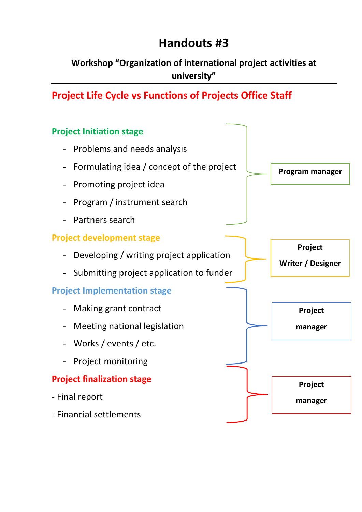## **Handouts #3**

**Workshop "Organization of international project activities at university"**

**Project Life Cycle vs Functions of Projects Office Staff**